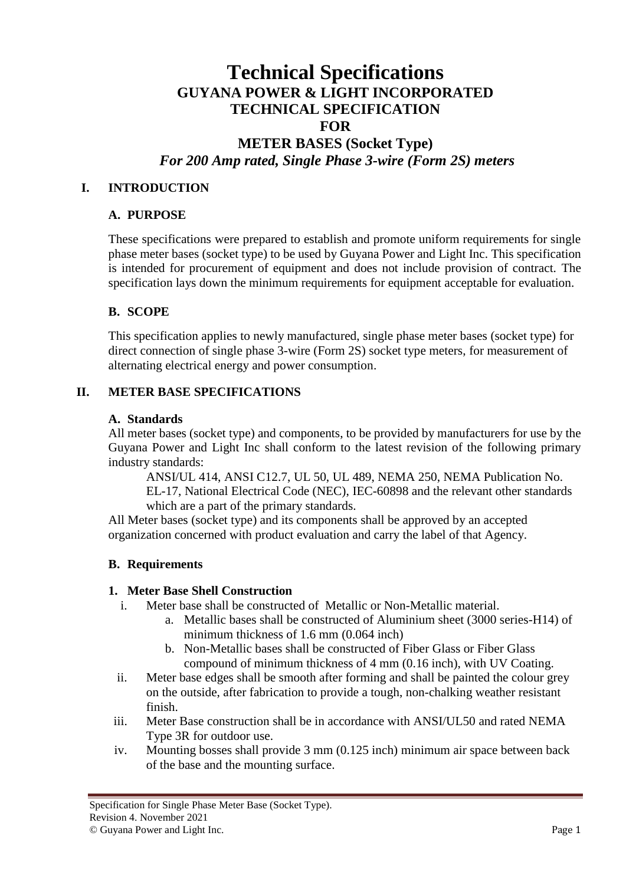# **Technical Specifications GUYANA POWER & LIGHT INCORPORATED TECHNICAL SPECIFICATION FOR**

# **METER BASES (Socket Type)** *For 200 Amp rated, Single Phase 3-wire (Form 2S) meters*

### **I. INTRODUCTION**

#### **A. PURPOSE**

These specifications were prepared to establish and promote uniform requirements for single phase meter bases (socket type) to be used by Guyana Power and Light Inc. This specification is intended for procurement of equipment and does not include provision of contract. The specification lays down the minimum requirements for equipment acceptable for evaluation.

#### **B. SCOPE**

This specification applies to newly manufactured, single phase meter bases (socket type) for direct connection of single phase 3-wire (Form 2S) socket type meters, for measurement of alternating electrical energy and power consumption.

#### **II. METER BASE SPECIFICATIONS**

#### **A. Standards**

All meter bases (socket type) and components, to be provided by manufacturers for use by the Guyana Power and Light Inc shall conform to the latest revision of the following primary industry standards:

ANSI/UL 414, ANSI C12.7, UL 50, UL 489, NEMA 250, NEMA Publication No. EL-17, National Electrical Code (NEC), IEC-60898 and the relevant other standards which are a part of the primary standards.

All Meter bases (socket type) and its components shall be approved by an accepted organization concerned with product evaluation and carry the label of that Agency.

#### **B. Requirements**

#### **1. Meter Base Shell Construction**

- i. Meter base shall be constructed of Metallic or Non-Metallic material.
	- a. Metallic bases shall be constructed of Aluminium sheet (3000 series-H14) of minimum thickness of 1.6 mm (0.064 inch)
	- b. Non-Metallic bases shall be constructed of Fiber Glass or Fiber Glass compound of minimum thickness of 4 mm (0.16 inch), with UV Coating.
- ii. Meter base edges shall be smooth after forming and shall be painted the colour grey on the outside, after fabrication to provide a tough, non-chalking weather resistant finish.
- iii. Meter Base construction shall be in accordance with ANSI/UL50 and rated NEMA Type 3R for outdoor use.
- iv. Mounting bosses shall provide 3 mm (0.125 inch) minimum air space between back of the base and the mounting surface.

Specification for Single Phase Meter Base (Socket Type). Revision 4. November 2021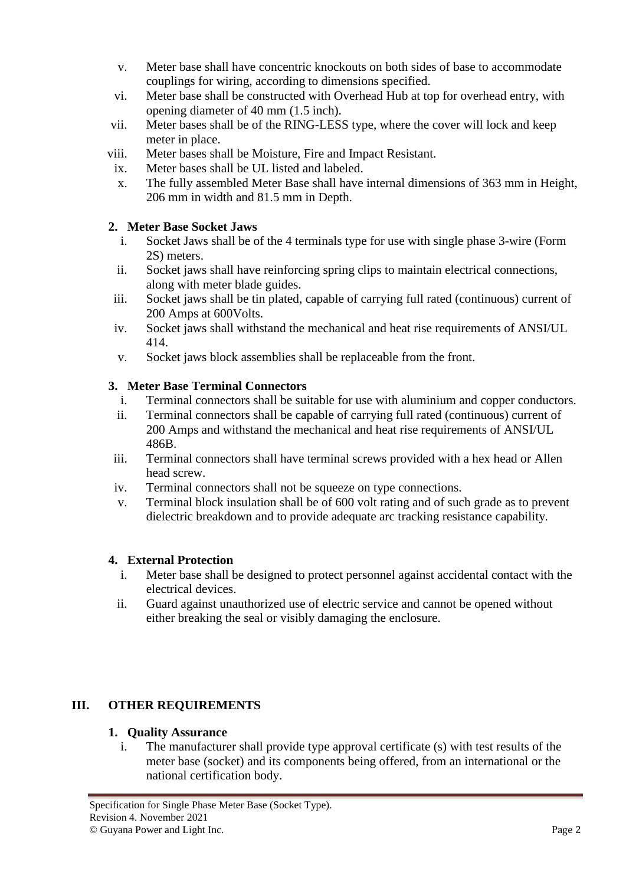- v. Meter base shall have concentric knockouts on both sides of base to accommodate couplings for wiring, according to dimensions specified.
- vi. Meter base shall be constructed with Overhead Hub at top for overhead entry, with opening diameter of 40 mm (1.5 inch).
- vii. Meter bases shall be of the RING-LESS type, where the cover will lock and keep meter in place.
- viii. Meter bases shall be Moisture, Fire and Impact Resistant.
- ix. Meter bases shall be UL listed and labeled.
- x. The fully assembled Meter Base shall have internal dimensions of 363 mm in Height, 206 mm in width and 81.5 mm in Depth.

## **2. Meter Base Socket Jaws**

- i. Socket Jaws shall be of the 4 terminals type for use with single phase 3-wire (Form 2S) meters.
- ii. Socket jaws shall have reinforcing spring clips to maintain electrical connections, along with meter blade guides.
- iii. Socket jaws shall be tin plated, capable of carrying full rated (continuous) current of 200 Amps at 600Volts.
- iv. Socket jaws shall withstand the mechanical and heat rise requirements of ANSI/UL 414.
- v. Socket jaws block assemblies shall be replaceable from the front.

## **3. Meter Base Terminal Connectors**

- i. Terminal connectors shall be suitable for use with aluminium and copper conductors.
- ii. Terminal connectors shall be capable of carrying full rated (continuous) current of 200 Amps and withstand the mechanical and heat rise requirements of ANSI/UL 486B.
- iii. Terminal connectors shall have terminal screws provided with a hex head or Allen head screw.
- iv. Terminal connectors shall not be squeeze on type connections.
- v. Terminal block insulation shall be of 600 volt rating and of such grade as to prevent dielectric breakdown and to provide adequate arc tracking resistance capability.

### **4. External Protection**

- i. Meter base shall be designed to protect personnel against accidental contact with the electrical devices.
- ii. Guard against unauthorized use of electric service and cannot be opened without either breaking the seal or visibly damaging the enclosure.

## **III. OTHER REQUIREMENTS**

### **1. Quality Assurance**

i. The manufacturer shall provide type approval certificate (s) with test results of the meter base (socket) and its components being offered, from an international or the national certification body.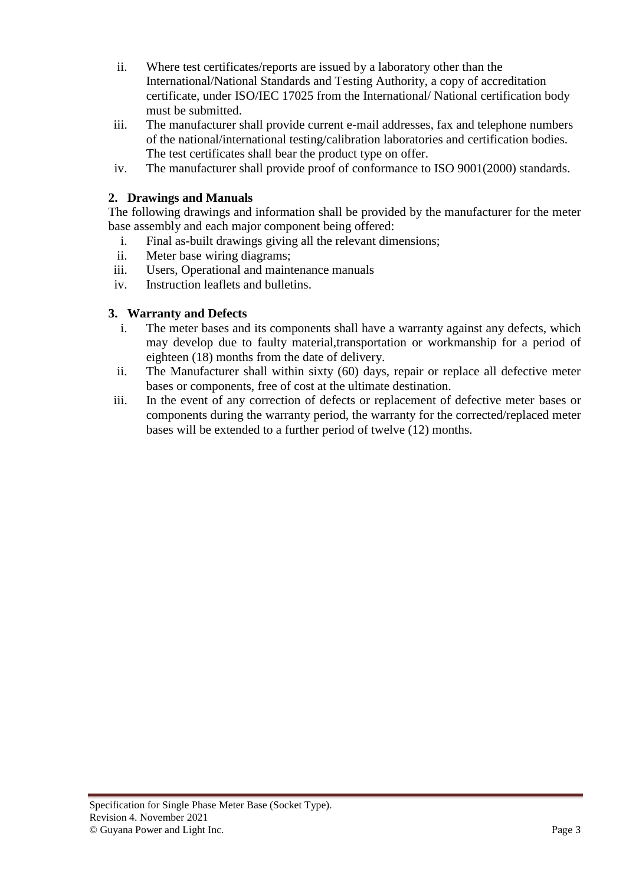- ii. Where test certificates/reports are issued by a laboratory other than the International/National Standards and Testing Authority, a copy of accreditation certificate, under ISO/IEC 17025 from the International/ National certification body must be submitted.
- iii. The manufacturer shall provide current e-mail addresses, fax and telephone numbers of the national/international testing/calibration laboratories and certification bodies. The test certificates shall bear the product type on offer.
- iv. The manufacturer shall provide proof of conformance to ISO 9001(2000) standards.

### **2. Drawings and Manuals**

The following drawings and information shall be provided by the manufacturer for the meter base assembly and each major component being offered:

- i. Final as-built drawings giving all the relevant dimensions;
- ii. Meter base wiring diagrams;
- iii. Users, Operational and maintenance manuals
- iv. Instruction leaflets and bulletins.

### **3. Warranty and Defects**

- i. The meter bases and its components shall have a warranty against any defects, which may develop due to faulty material,transportation or workmanship for a period of eighteen (18) months from the date of delivery.
- ii. The Manufacturer shall within sixty (60) days, repair or replace all defective meter bases or components, free of cost at the ultimate destination.
- iii. In the event of any correction of defects or replacement of defective meter bases or components during the warranty period, the warranty for the corrected/replaced meter bases will be extended to a further period of twelve (12) months.